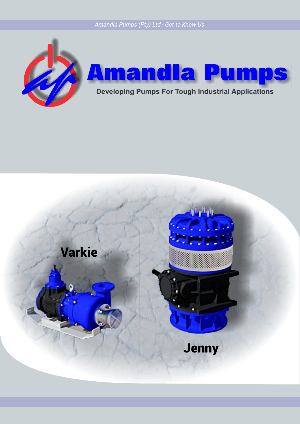*Amandla Pumps (Pty) Ltd - Get to Know Us*





**Developing Pumps For Tough Industrial Applications**

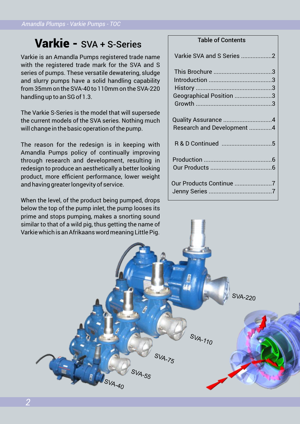# Varkie - SVA + S-Series

Varkie is an Amandla Pumps registered trade name with the registered trade mark for the SVA and S series of pumps. These versatile dewatering, sludge and slurry pumps have a solid handling capability from 35mm on the SVA-40 to 110mm on the SVA-220 handling up to an SG of 1.3.

The Varkie S-Series is the model that will supersede the current models of the SVA series. Nothing much will change in the basic operation of the pump.

The reason for the redesign is in keeping with Amandla Pumps policy of continually improving through research and development, resulting in redesign to produce an aesthetically a better looking product, more efficient performance, lower weight and having greater longevity of service.

When the level, of the product being pumped, drops below the top of the pump inlet, the pump looses its prime and stops pumping, makes a snorting sound similar to that of a wild pig, thus getting the name of Varkie which is an Afrikaans word meaning Little Pig.

# Table of Contents

| Varkie SVA and S Series 2  |
|----------------------------|
|                            |
|                            |
|                            |
| Geographical Position 3    |
|                            |
|                            |
| Quality Assurance 4        |
| Research and Development 4 |
|                            |
|                            |
|                            |
|                            |
|                            |
|                            |
| Our Products Continue 7    |
|                            |
|                            |

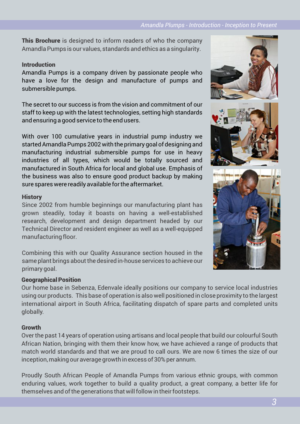**This Brochure** is designed to inform readers of who the company Amandla Pumps is our values, standards and ethics as a singularity.

# Introduction

Amandla Pumps is a company driven by passionate people who have a love for the design and manufacture of pumps and submersible pumps.

The secret to our success is from the vision and commitment of our staff to keep up with the latest technologies, setting high standards and ensuring a good service to the end users.

With over 100 cumulative years in industrial pump industry we started Amandla Pumps 2002 with the primary goal of designing and manufacturing industrial submersible pumps for use in heavy industries of all types, which would be totally sourced and manufactured in South Africa for local and global use. Emphasis of the business was also to ensure good product backup by making sure spares were readily available for the aftermarket.

### **History**

Since 2002 from humble beginnings our manufacturing plant has grown steadily, today it boasts on having a well-established research, development and design department headed by our Technical Director and resident engineer as well as a well-equipped manufacturing floor.

Combining this with our Quality Assurance section housed in the same plant brings about the desired in-house services to achieve our primary goal.

# Geographical Position

Our home base in Sebenza, Edenvale ideally positions our company to service local industries using our products. This base of operation is also well positioned in close proximity to the largest international airport in South Africa, facilitating dispatch of spare parts and completed units globally.

# Growth

Over the past 14 years of operation using artisans and local people that build our colourful South African Nation, bringing with them their know how, we have achieved a range of products that match world standards and that we are proud to call ours. We are now 6 times the size of our inception, making our average growth in excess of 30% per annum.

Proudly South African People of Amandla Pumps from various ethnic groups, with common enduring values, work together to build a quality product, a great company, a better life for themselves and of the generations that will follow in their footsteps.



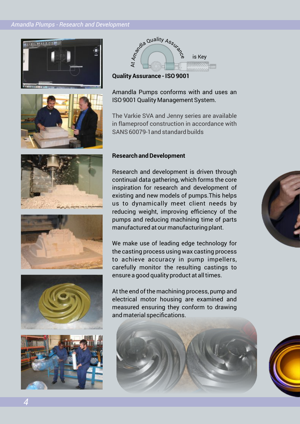#### *Amandla Plumps - Research and Development*







**Quality Assurance - ISO 9001**

Amandla Pumps conforms with and uses an ISO 9001 Quality Management System.

The Varkie SVA and Jenny series are available in flameproof construction in accordance with SANS 60079-1and standard builds









*4*

#### **Research and Development**

Research and development is driven through continual data gathering, which forms the core inspiration for research and development of existing and new models of pumps.This helps us to dynamically meet client needs by reducing weight, improving efficiency of the pumps and reducing machining time of parts manufactured at our manufacturing plant.

We make use of leading edge technology for the casting process using wax casting process to achieve accuracy in pump impellers, carefully monitor the resulting castings to ensure a good quality product at all times.

At the end of the machining process, pump and electrical motor housing are examined and measured ensuring they conform to drawing and material specifications.



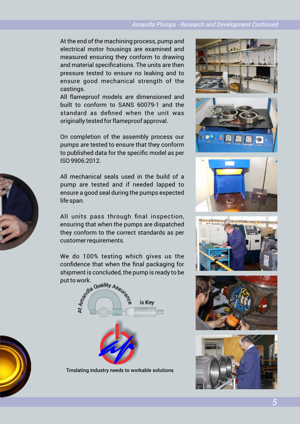At the end of the machining process, pump and electrical motor housings are examined and measured ensuring they conform to drawing and material specifications. The units are then pressure tested to ensure no leaking and to ensure good mechanical strength of the castings.

All flameproof models are dimensioned and built to conform to SANS 60079-1 and the standard as defined when the unit was originally tested for flameproof approval.

On completion of the assembly process our pumps are tested to ensure that they conform to published data for the specific model as per ISO 9906:2012.

All mechanical seals used in the build of a pump are tested and if needed lapped to ensure a good seal during the pumps expected life span.

All units pass through final inspection, ensuring that when the pumps are dispatched they conform to the correct standards as per customer requirements.

We do 100% testing which gives us the confidence that when the final packaging for put to work.



Trnslating industry needs to workable solutions





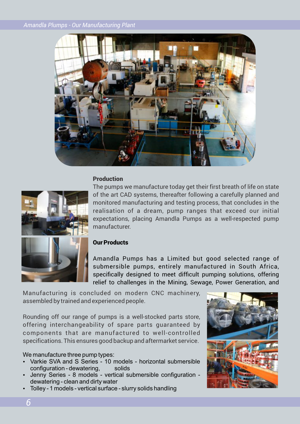

#### Production



The pumps we manufacture today get their first breath of life on state of the art CAD systems, thereafter following a carefully planned and monitored manufacturing and testing process, that concludes in the realisation of a dream, pump ranges that exceed our initial expectations, placing Amandla Pumps as a well-respected pump manufacturer.

#### Our Products

Amandla Pumps has a Limited but good selected range of submersible pumps, entirely manufactured in South Africa, specifically designed to meet difficult pumping solutions, offering relief to challenges in the Mining, Sewage, Power Generation, and

Manufacturing is concluded on modern CNC machinery, assembled by trained and experienced people.

Rounding off our range of pumps is a well-stocked parts store, offering interchangeability of spare parts guaranteed by components that are manufactured to well-controlled specifications. This ensures good backup and aftermarket service.

We manufacture three pump types:

- Varkie SVA and S Series 10 models horizontal submersible configuration - dewatering, solids
- Jenny Series 8 models vertical submersible configuration dewatering - clean and dirty water
- Tolley 1 models vertical surface slurry solids handling